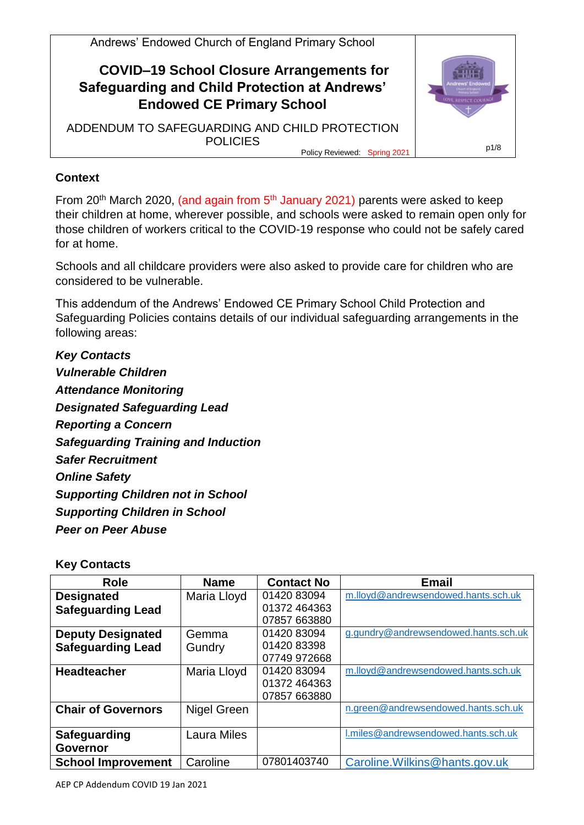

### **Context**

From  $20<sup>th</sup>$  March 2020, (and again from  $5<sup>th</sup>$  January 2021) parents were asked to keep their children at home, wherever possible, and schools were asked to remain open only for those children of workers critical to the COVID-19 response who could not be safely cared for at home.

Schools and all childcare providers were also asked to provide care for children who are considered to be vulnerable.

This addendum of the Andrews' Endowed CE Primary School Child Protection and Safeguarding Policies contains details of our individual safeguarding arrangements in the following areas:

*Key Contacts Vulnerable Children Attendance Monitoring Designated Safeguarding Lead Reporting a Concern Safeguarding Training and Induction Safer Recruitment Online Safety Supporting Children not in School Supporting Children in School Peer on Peer Abuse*

#### **Key Contacts**

| Role                      | <b>Name</b>        | <b>Contact No</b> | <b>Email</b>                         |
|---------------------------|--------------------|-------------------|--------------------------------------|
| <b>Designated</b>         | Maria Lloyd        | 01420 83094       | m.lloyd@andrewsendowed.hants.sch.uk  |
| <b>Safeguarding Lead</b>  |                    | 01372 464363      |                                      |
|                           |                    | 07857 663880      |                                      |
| <b>Deputy Designated</b>  | Gemma              | 01420 83094       | g.gundry@andrewsendowed.hants.sch.uk |
| <b>Safeguarding Lead</b>  | Gundry             | 01420 83398       |                                      |
|                           |                    | 07749 972668      |                                      |
| <b>Headteacher</b>        | Maria Lloyd        | 01420 83094       | m.lloyd@andrewsendowed.hants.sch.uk  |
|                           |                    | 01372 464363      |                                      |
|                           |                    | 07857 663880      |                                      |
| <b>Chair of Governors</b> | Nigel Green        |                   | n.green@andrewsendowed.hants.sch.uk  |
|                           |                    |                   |                                      |
| <b>Safeguarding</b>       | <b>Laura Miles</b> |                   | I.miles@andrewsendowed.hants.sch.uk  |
| <b>Governor</b>           |                    |                   |                                      |
| <b>School Improvement</b> | Caroline           | 07801403740       | Caroline. Wilkins@hants.gov.uk       |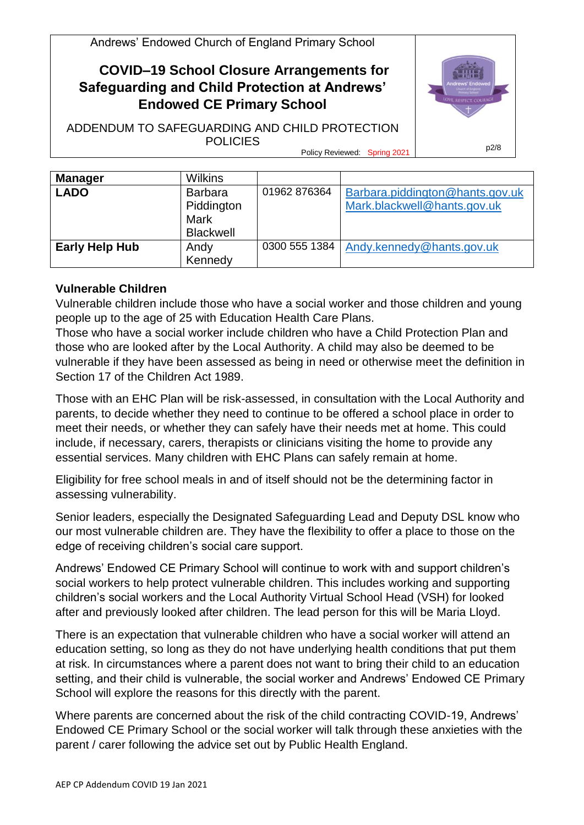## **COVID–19 School Closure Arrangements for Safeguarding and Child Protection at Andrews' Endowed CE Primary School**

ADDENDUM TO SAFEGUARDING AND CHILD PROTECTION POLICIES



Policy Reviewed: Spring 2021

| <b>Manager</b>        | <b>Wilkins</b>                                                  |               |                                                                |
|-----------------------|-----------------------------------------------------------------|---------------|----------------------------------------------------------------|
| <b>LADO</b>           | <b>Barbara</b><br>Piddington<br><b>Mark</b><br><b>Blackwell</b> | 01962 876364  | Barbara.piddington@hants.gov.uk<br>Mark.blackwell@hants.gov.uk |
| <b>Early Help Hub</b> | Andy<br>Kennedy                                                 | 0300 555 1384 | Andy.kennedy@hants.gov.uk                                      |

### **Vulnerable Children**

Vulnerable children include those who have a social worker and those children and young people up to the age of 25 with Education Health Care Plans.

Those who have a social worker include children who have a Child Protection Plan and those who are looked after by the Local Authority. A child may also be deemed to be vulnerable if they have been assessed as being in need or otherwise meet the definition in Section 17 of the Children Act 1989.

Those with an EHC Plan will be risk-assessed, in consultation with the Local Authority and parents, to decide whether they need to continue to be offered a school place in order to meet their needs, or whether they can safely have their needs met at home. This could include, if necessary, carers, therapists or clinicians visiting the home to provide any essential services. Many children with EHC Plans can safely remain at home.

Eligibility for free school meals in and of itself should not be the determining factor in assessing vulnerability.

Senior leaders, especially the Designated Safeguarding Lead and Deputy DSL know who our most vulnerable children are. They have the flexibility to offer a place to those on the edge of receiving children's social care support.

Andrews' Endowed CE Primary School will continue to work with and support children's social workers to help protect vulnerable children. This includes working and supporting children's social workers and the Local Authority Virtual School Head (VSH) for looked after and previously looked after children. The lead person for this will be Maria Lloyd.

There is an expectation that vulnerable children who have a social worker will attend an education setting, so long as they do not have underlying health conditions that put them at risk. In circumstances where a parent does not want to bring their child to an education setting, and their child is vulnerable, the social worker and Andrews' Endowed CE Primary School will explore the reasons for this directly with the parent.

Where parents are concerned about the risk of the child contracting COVID-19, Andrews' Endowed CE Primary School or the social worker will talk through these anxieties with the parent / carer following the advice set out by Public Health England.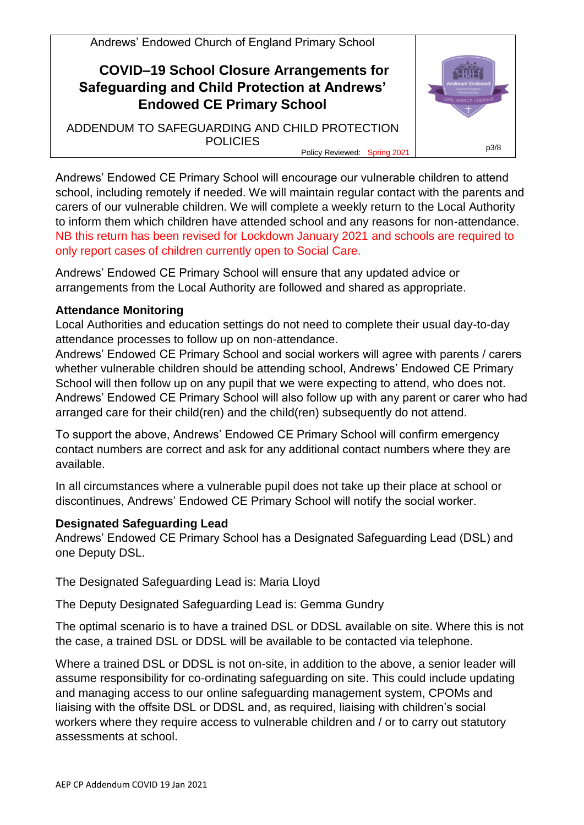

Andrews' Endowed CE Primary School will encourage our vulnerable children to attend school, including remotely if needed. We will maintain regular contact with the parents and carers of our vulnerable children. We will complete a weekly return to the Local Authority to inform them which children have attended school and any reasons for non-attendance. NB this return has been revised for Lockdown January 2021 and schools are required to only report cases of children currently open to Social Care.

Andrews' Endowed CE Primary School will ensure that any updated advice or arrangements from the Local Authority are followed and shared as appropriate.

#### **Attendance Monitoring**

Local Authorities and education settings do not need to complete their usual day-to-day attendance processes to follow up on non-attendance.

Andrews' Endowed CE Primary School and social workers will agree with parents / carers whether vulnerable children should be attending school, Andrews' Endowed CE Primary School will then follow up on any pupil that we were expecting to attend, who does not. Andrews' Endowed CE Primary School will also follow up with any parent or carer who had arranged care for their child(ren) and the child(ren) subsequently do not attend.

To support the above, Andrews' Endowed CE Primary School will confirm emergency contact numbers are correct and ask for any additional contact numbers where they are available.

In all circumstances where a vulnerable pupil does not take up their place at school or discontinues, Andrews' Endowed CE Primary School will notify the social worker.

### **Designated Safeguarding Lead**

Andrews' Endowed CE Primary School has a Designated Safeguarding Lead (DSL) and one Deputy DSL.

The Designated Safeguarding Lead is: Maria Lloyd

The Deputy Designated Safeguarding Lead is: Gemma Gundry

The optimal scenario is to have a trained DSL or DDSL available on site. Where this is not the case, a trained DSL or DDSL will be available to be contacted via telephone.

Where a trained DSL or DDSL is not on-site, in addition to the above, a senior leader will assume responsibility for co-ordinating safeguarding on site. This could include updating and managing access to our online safeguarding management system, CPOMs and liaising with the offsite DSL or DDSL and, as required, liaising with children's social workers where they require access to vulnerable children and / or to carry out statutory assessments at school.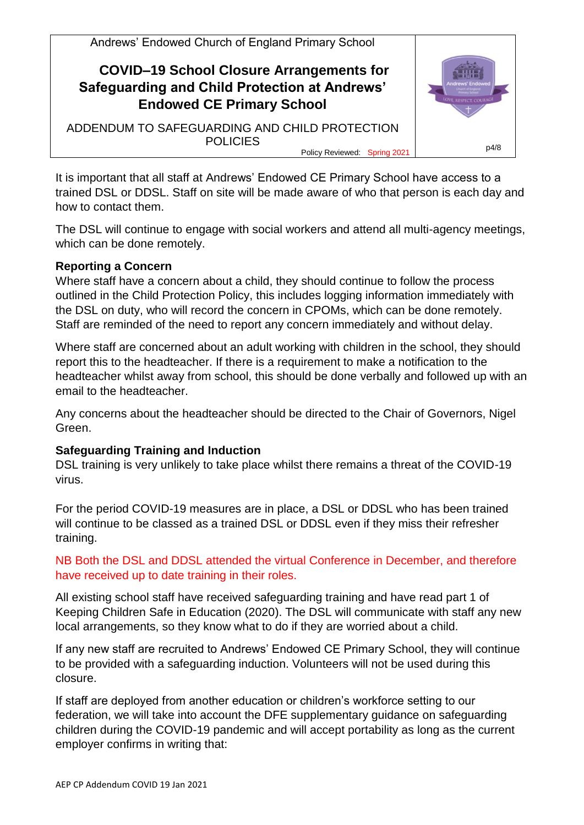

It is important that all staff at Andrews' Endowed CE Primary School have access to a trained DSL or DDSL. Staff on site will be made aware of who that person is each day and how to contact them.

The DSL will continue to engage with social workers and attend all multi-agency meetings, which can be done remotely.

#### **Reporting a Concern**

Where staff have a concern about a child, they should continue to follow the process outlined in the Child Protection Policy, this includes logging information immediately with the DSL on duty, who will record the concern in CPOMs, which can be done remotely. Staff are reminded of the need to report any concern immediately and without delay.

Where staff are concerned about an adult working with children in the school, they should report this to the headteacher. If there is a requirement to make a notification to the headteacher whilst away from school, this should be done verbally and followed up with an email to the headteacher.

Any concerns about the headteacher should be directed to the Chair of Governors, Nigel Green.

### **Safeguarding Training and Induction**

DSL training is very unlikely to take place whilst there remains a threat of the COVID-19 virus.

For the period COVID-19 measures are in place, a DSL or DDSL who has been trained will continue to be classed as a trained DSL or DDSL even if they miss their refresher training.

NB Both the DSL and DDSL attended the virtual Conference in December, and therefore have received up to date training in their roles.

All existing school staff have received safeguarding training and have read part 1 of Keeping Children Safe in Education (2020). The DSL will communicate with staff any new local arrangements, so they know what to do if they are worried about a child.

If any new staff are recruited to Andrews' Endowed CE Primary School, they will continue to be provided with a safeguarding induction. Volunteers will not be used during this closure.

If staff are deployed from another education or children's workforce setting to our federation, we will take into account the DFE supplementary guidance on safeguarding children during the COVID-19 pandemic and will accept portability as long as the current employer confirms in writing that: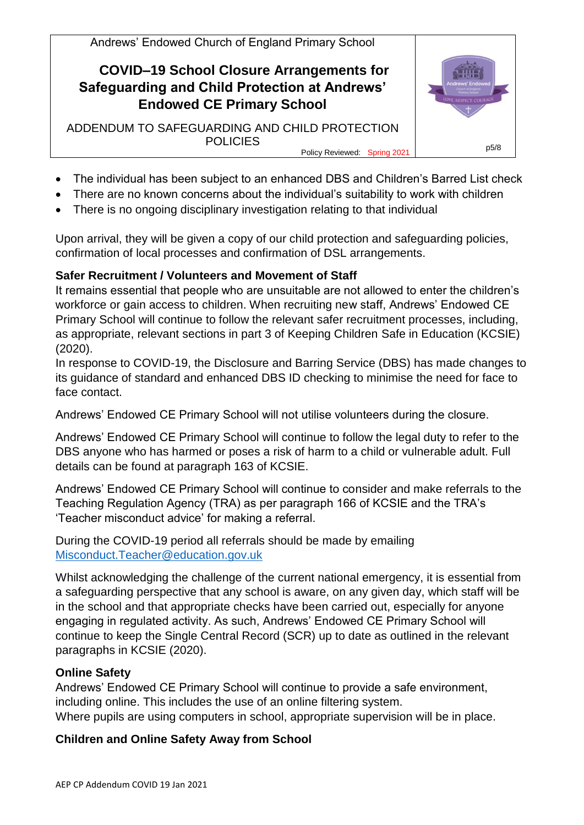

- The individual has been subject to an enhanced DBS and Children's Barred List check
- There are no known concerns about the individual's suitability to work with children
- There is no ongoing disciplinary investigation relating to that individual

Upon arrival, they will be given a copy of our child protection and safeguarding policies, confirmation of local processes and confirmation of DSL arrangements.

# **Safer Recruitment / Volunteers and Movement of Staff**

It remains essential that people who are unsuitable are not allowed to enter the children's workforce or gain access to children. When recruiting new staff, Andrews' Endowed CE Primary School will continue to follow the relevant safer recruitment processes, including, as appropriate, relevant sections in part 3 of Keeping Children Safe in Education (KCSIE) (2020).

In response to COVID-19, the Disclosure and Barring Service (DBS) has made changes to its guidance of standard and enhanced DBS ID checking to minimise the need for face to face contact.

Andrews' Endowed CE Primary School will not utilise volunteers during the closure.

Andrews' Endowed CE Primary School will continue to follow the legal duty to refer to the DBS anyone who has harmed or poses a risk of harm to a child or vulnerable adult. Full details can be found at paragraph 163 of KCSIE.

Andrews' Endowed CE Primary School will continue to consider and make referrals to the Teaching Regulation Agency (TRA) as per paragraph 166 of KCSIE and the TRA's 'Teacher misconduct advice' for making a referral.

During the COVID-19 period all referrals should be made by emailing [Misconduct.Teacher@education.gov.uk](mailto:Misconduct.Teacher@education.gov.uk)

Whilst acknowledging the challenge of the current national emergency, it is essential from a safeguarding perspective that any school is aware, on any given day, which staff will be in the school and that appropriate checks have been carried out, especially for anyone engaging in regulated activity. As such, Andrews' Endowed CE Primary School will continue to keep the Single Central Record (SCR) up to date as outlined in the relevant paragraphs in KCSIE (2020).

# **Online Safety**

Andrews' Endowed CE Primary School will continue to provide a safe environment, including online. This includes the use of an online filtering system. Where pupils are using computers in school, appropriate supervision will be in place.

## **Children and Online Safety Away from School**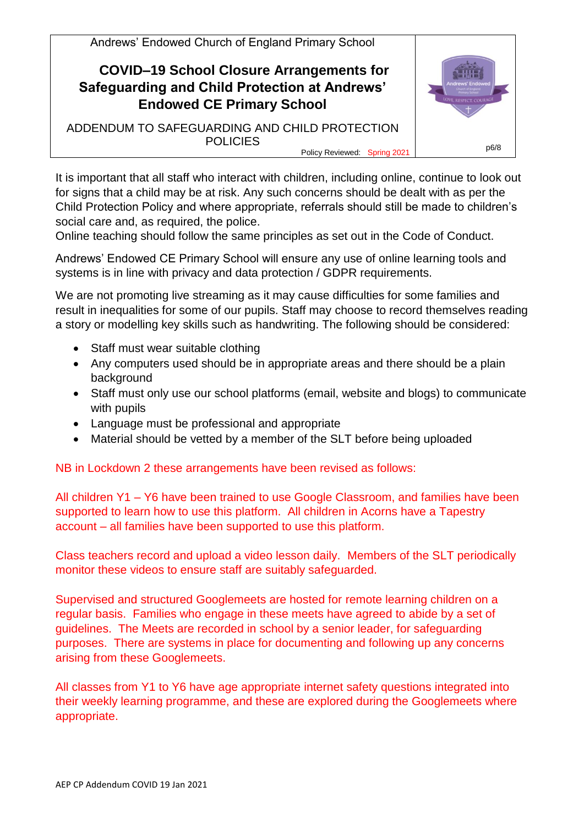

It is important that all staff who interact with children, including online, continue to look out for signs that a child may be at risk. Any such concerns should be dealt with as per the Child Protection Policy and where appropriate, referrals should still be made to children's social care and, as required, the police.

Online teaching should follow the same principles as set out in the Code of Conduct.

Andrews' Endowed CE Primary School will ensure any use of online learning tools and systems is in line with privacy and data protection / GDPR requirements.

We are not promoting live streaming as it may cause difficulties for some families and result in inequalities for some of our pupils. Staff may choose to record themselves reading a story or modelling key skills such as handwriting. The following should be considered:

- Staff must wear suitable clothing
- Any computers used should be in appropriate areas and there should be a plain background
- Staff must only use our school platforms (email, website and blogs) to communicate with pupils
- Language must be professional and appropriate
- Material should be vetted by a member of the SLT before being uploaded

NB in Lockdown 2 these arrangements have been revised as follows:

All children Y1 – Y6 have been trained to use Google Classroom, and families have been supported to learn how to use this platform. All children in Acorns have a Tapestry account – all families have been supported to use this platform.

Class teachers record and upload a video lesson daily. Members of the SLT periodically monitor these videos to ensure staff are suitably safeguarded.

Supervised and structured Googlemeets are hosted for remote learning children on a regular basis. Families who engage in these meets have agreed to abide by a set of guidelines. The Meets are recorded in school by a senior leader, for safeguarding purposes. There are systems in place for documenting and following up any concerns arising from these Googlemeets.

All classes from Y1 to Y6 have age appropriate internet safety questions integrated into their weekly learning programme, and these are explored during the Googlemeets where appropriate.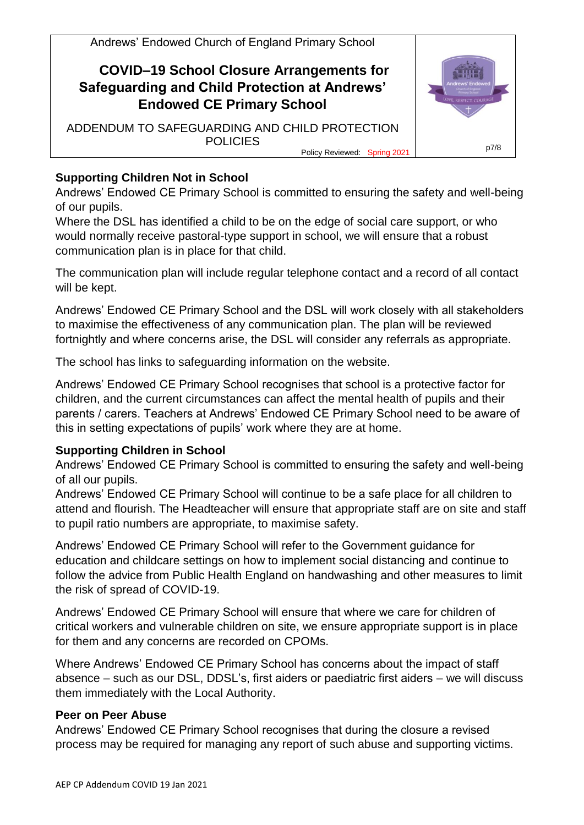# **COVID–19 School Closure Arrangements for Safeguarding and Child Protection at Andrews' Endowed CE Primary School**

ADDENDUM TO SAFEGUARDING AND CHILD PROTECTION **POLICIES** Policy Reviewed: Spring 2021



### **Supporting Children Not in School**

Andrews' Endowed CE Primary School is committed to ensuring the safety and well-being of our pupils.

Where the DSL has identified a child to be on the edge of social care support, or who would normally receive pastoral-type support in school, we will ensure that a robust communication plan is in place for that child.

The communication plan will include regular telephone contact and a record of all contact will be kept.

Andrews' Endowed CE Primary School and the DSL will work closely with all stakeholders to maximise the effectiveness of any communication plan. The plan will be reviewed fortnightly and where concerns arise, the DSL will consider any referrals as appropriate.

The school has links to safeguarding information on the website.

Andrews' Endowed CE Primary School recognises that school is a protective factor for children, and the current circumstances can affect the mental health of pupils and their parents / carers. Teachers at Andrews' Endowed CE Primary School need to be aware of this in setting expectations of pupils' work where they are at home.

### **Supporting Children in School**

Andrews' Endowed CE Primary School is committed to ensuring the safety and well-being of all our pupils.

Andrews' Endowed CE Primary School will continue to be a safe place for all children to attend and flourish. The Headteacher will ensure that appropriate staff are on site and staff to pupil ratio numbers are appropriate, to maximise safety.

Andrews' Endowed CE Primary School will refer to the Government guidance for education and childcare settings on how to implement social distancing and continue to follow the advice from Public Health England on handwashing and other measures to limit the risk of spread of COVID-19.

Andrews' Endowed CE Primary School will ensure that where we care for children of critical workers and vulnerable children on site, we ensure appropriate support is in place for them and any concerns are recorded on CPOMs.

Where Andrews' Endowed CE Primary School has concerns about the impact of staff absence – such as our DSL, DDSL's, first aiders or paediatric first aiders – we will discuss them immediately with the Local Authority.

### **Peer on Peer Abuse**

Andrews' Endowed CE Primary School recognises that during the closure a revised process may be required for managing any report of such abuse and supporting victims.